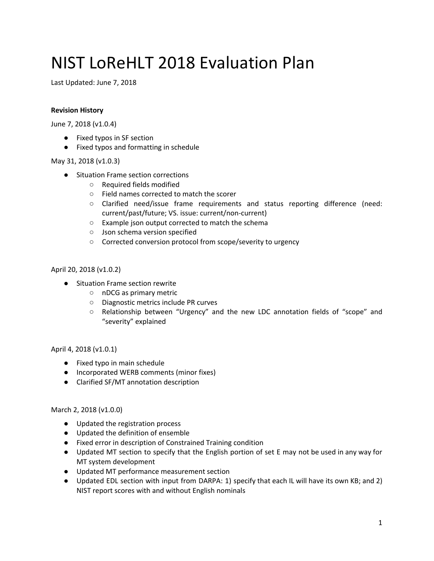# NIST LoReHLT 2018 Evaluation Plan

Last Updated: June 7, 2018

#### **Revision History**

June 7, 2018 (v1.0.4)

- Fixed typos in SF section
- Fixed typos and formatting in schedule

#### May 31, 2018 (v1.0.3)

- Situation Frame section corrections
	- Required fields modified
	- Field names corrected to match the scorer
	- Clarified need/issue frame requirements and status reporting difference (need: current/past/future; VS. issue: current/non-current)
	- Example json output corrected to match the schema
	- Json schema version specified
	- Corrected conversion protocol from scope/severity to urgency

#### April 20, 2018 (v1.0.2)

- Situation Frame section rewrite
	- nDCG as primary metric
	- Diagnostic metrics include PR curves
	- Relationship between "Urgency" and the new LDC annotation fields of "scope" and "severity" explained

April 4, 2018 (v1.0.1)

- Fixed typo in main schedule
- Incorporated WERB comments (minor fixes)
- Clarified SF/MT annotation description

#### March 2, 2018 (v1.0.0)

- Updated the registration process
- Updated the definition of ensemble
- Fixed error in description of Constrained Training condition
- Updated MT section to specify that the English portion of set E may not be used in any way for MT system development
- Updated MT performance measurement section
- Updated EDL section with input from DARPA: 1) specify that each IL will have its own KB; and 2) NIST report scores with and without English nominals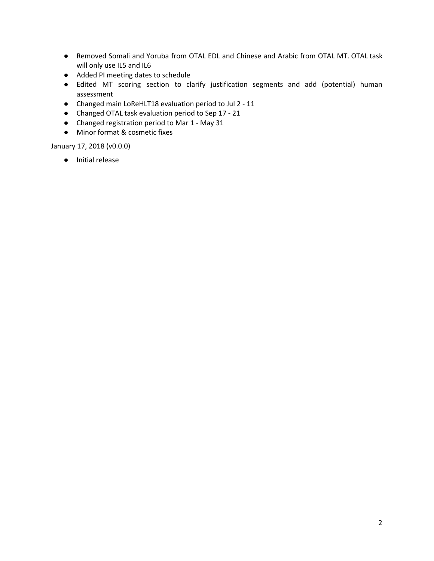- Removed Somali and Yoruba from OTAL EDL and Chinese and Arabic from OTAL MT. OTAL task will only use IL5 and IL6
- Added PI meeting dates to schedule
- Edited MT scoring section to clarify justification segments and add (potential) human assessment
- Changed main LoReHLT18 evaluation period to Jul 2 11
- Changed OTAL task evaluation period to Sep 17 21
- Changed registration period to Mar 1 May 31
- Minor format & cosmetic fixes

January 17, 2018 (v0.0.0)

● Initial release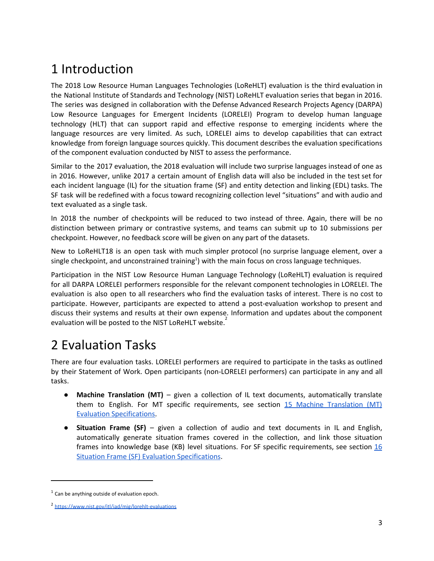# 1 Introduction

The 2018 Low Resource Human Languages Technologies (LoReHLT) evaluation is the third evaluation in the National Institute of Standards and Technology (NIST) LoReHLT evaluation series that began in 2016. The series was designed in collaboration with the Defense Advanced Research Projects Agency (DARPA) Low Resource Languages for Emergent Incidents (LORELEI) Program to develop human language technology (HLT) that can support rapid and effective response to emerging incidents where the language resources are very limited. As such, LORELEI aims to develop capabilities that can extract knowledge from foreign language sources quickly. This document describes the evaluation specifications of the component evaluation conducted by NIST to assess the performance.

Similar to the 2017 evaluation, the 2018 evaluation will include two surprise languages instead of one as in 2016. However, unlike 2017 a certain amount of English data will also be included in the test set for each incident language (IL) for the situation frame (SF) and entity detection and linking (EDL) tasks. The SF task will be redefined with a focus toward recognizing collection level "situations" and with audio and text evaluated as a single task.

In 2018 the number of checkpoints will be reduced to two instead of three. Again, there will be no distinction between primary or contrastive systems, and teams can submit up to 10 submissions per checkpoint. However, no feedback score will be given on any part of the datasets.

New to LoReHLT18 is an open task with much simpler protocol (no surprise language element, over a single checkpoint, and unconstrained training<sup>1</sup>) with the main focus on cross language techniques.

Participation in the NIST Low Resource Human Language Technology (LoReHLT) evaluation is required for all DARPA LORELEI performers responsible for the relevant component technologies in LORELEI. The evaluation is also open to all researchers who find the evaluation tasks of interest. There is no cost to participate. However, participants are expected to attend a post-evaluation workshop to present and discuss their systems and results at their own expense. Information and updates about the component evaluation will be posted to the NIST LoReHLT website.<sup>2</sup>

# 2 Evaluation Tasks

There are four evaluation tasks. LORELEI performers are required to participate in the tasks as outlined by their Statement of Work. Open participants (non-LORELEI performers) can participate in any and all tasks.

- **Machine Translation (MT)** given a collection of IL text documents, automatically translate them to English. For MT specific requirements, see section 15 Machine [Translation](#page-13-0) (MT) Evaluation [Specifications.](#page-13-0)
- **Situation Frame (SF)** given a collection of audio and text documents in IL and English, automatically generate situation frames covered in the collection, and link those situation frames into knowledge base (KB) level situations. For SF specific requirements, see section  $16$ Situation Frame (SF) Evaluation [Specifications](#page-16-0).

 $1$  Can be anything outside of evaluation epoch.

<sup>2</sup> <https://www.nist.gov/itl/iad/mig/lorehlt-evaluations>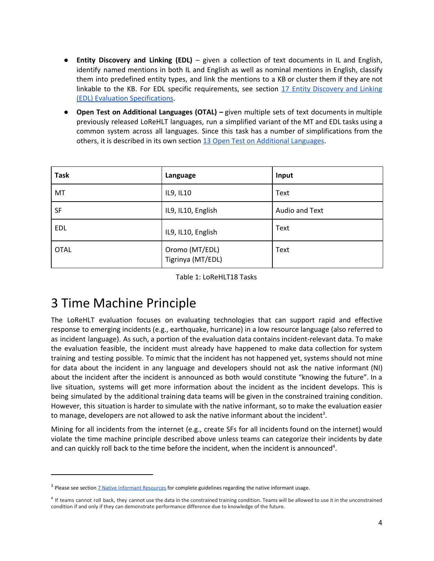- **Entity Discovery and Linking (EDL)** given a collection of text documents in IL and English, identify named mentions in both IL and English as well as nominal mentions in English, classify them into predefined entity types, and link the mentions to a KB or cluster them if they are not linkable to the KB. For EDL specific requirements, see section 17 Entity [Discovery](#page-23-0) and Linking (EDL) Evaluation [Specifications](#page-23-0).
- **Open Test on Additional Languages (OTAL) –** given multiple sets of text documents in multiple previously released LoReHLT languages, run a simplified variant of the MT and EDL tasks using a common system across all languages. Since this task has a number of simplifications from the others, it is described in its own section 13 Open Test on Additional [Languages.](#page-11-0)

| <b>Task</b> | Language                            | Input          |
|-------------|-------------------------------------|----------------|
| MT          | IL9, IL10                           | Text           |
| <b>SF</b>   | IL9, IL10, English                  | Audio and Text |
| EDL         | IL9, IL10, English                  | Text           |
| <b>OTAL</b> | Oromo (MT/EDL)<br>Tigrinya (MT/EDL) | Text           |

Table 1: LoReHLT18 Tasks

## 3 Time Machine Principle

The LoReHLT evaluation focuses on evaluating technologies that can support rapid and effective response to emerging incidents (e.g., earthquake, hurricane) in a low resource language (also referred to as incident language). As such, a portion of the evaluation data contains incident-relevant data. To make the evaluation feasible, the incident must already have happened to make data collection for system training and testing possible. To mimic that the incident has not happened yet, systems should not mine for data about the incident in any language and developers should not ask the native informant (NI) about the incident after the incident is announced as both would constitute "knowing the future". In a live situation, systems will get more information about the incident as the incident develops. This is being simulated by the additional training data teams will be given in the constrained training condition. However, this situation is harder to simulate with the native informant, so to make the evaluation easier to manage, developers are not allowed to ask the native informant about the incident<sup>3</sup>.

Mining for all incidents from the internet (e.g., create SFs for all incidents found on the internet) would violate the time machine principle described above unless teams can categorize their incidents by date and can quickly roll back to the time before the incident, when the incident is announced<sup>4</sup>.

<sup>&</sup>lt;sup>3</sup> Please see section **7 Native Informant [Resources](#page-7-0)** for complete guidelines regarding the native informant usage.

<sup>&</sup>lt;sup>4</sup> If teams cannot roll back, they cannot use the data in the constrained training condition. Teams will be allowed to use it in the unconstrained condition if and only if they can demonstrate performance difference due to knowledge of the future.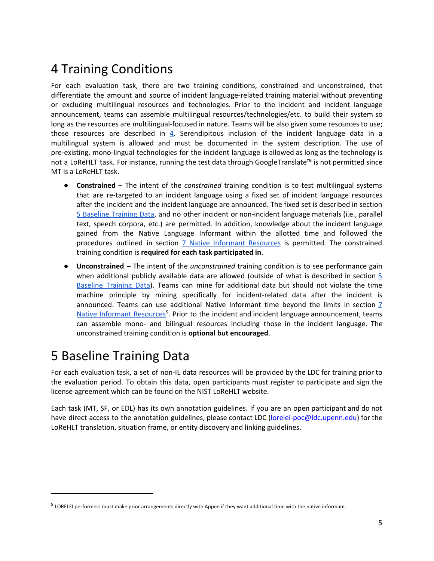# 4 Training Conditions

For each evaluation task, there are two training conditions, constrained and unconstrained, that differentiate the amount and source of incident language-related training material without preventing or excluding multilingual resources and technologies. Prior to the incident and incident language announcement, teams can assemble multilingual resources/technologies/etc. to build their system so long as the resources are multilingual-focused in nature. Teams will be also given some resources to use; those resources are described in [4](#page-4-0). Serendipitous inclusion of the incident language data in a multilingual system is allowed and must be documented in the system description. The use of pre-existing, mono-lingual technologies for the incident language is allowed as long as the technology is not a LoReHLT task. For instance, running the test data through GoogleTranslate™ is not permitted since MT is a LoReHLT task.

- **Constrained** The intent of the *constrained* training condition is to test multilingual systems that are re-targeted to an incident language using a fixed set of incident language resources after the incident and the incident language are announced. The fixed set is described in section 5 [Baseline](#page-4-0) Training Data, and no other incident or non-incident language materials (i.e., parallel text, speech corpora, etc.) are permitted. In addition, knowledge about the incident language gained from the Native Language Informant within the allotted time and followed the procedures outlined in section 7 Native Informant [Resources](#page-7-0) is permitted. The constrained training condition is **required for each task participated in**.
- **Unconstrained** The intent of the *unconstrained* training condition is to see performance gain when additional publicly available data are allowed (outside of what is described in section  $\frac{5}{5}$  $\frac{5}{5}$  $\frac{5}{5}$ [Baseline](#page-4-0) Training Data). Teams can mine for additional data but should not violate the time machine principle by mining specifically for incident-related data after the incident is announced. Teams can use additional Native Informant time beyond the limits in section [7](#page-7-0) Native Informant [Resources](#page-7-0)<sup>5</sup>. Prior to the incident and incident language announcement, teams can assemble mono- and bilingual resources including those in the incident language. The unconstrained training condition is **optional but encouraged**.

## <span id="page-4-0"></span>5 Baseline Training Data

For each evaluation task, a set of non-IL data resources will be provided by the LDC for training prior to the evaluation period. To obtain this data, open participants must register to participate and sign the license agreement which can be found on the NIST LoReHLT website.

Each task (MT, SF, or EDL) has its own annotation guidelines. If you are an open participant and do not have direct access to the annotation guidelines, please contact LDC [\(lorelei-poc@ldc.upenn.edu\)](mailto:lorelei-poc@ldc.upenn.edu) for the LoReHLT translation, situation frame, or entity discovery and linking guidelines.

<sup>&</sup>lt;sup>5</sup> LORELEI performers must make prior arrangements directly with Appen if they want additional time with the native informant.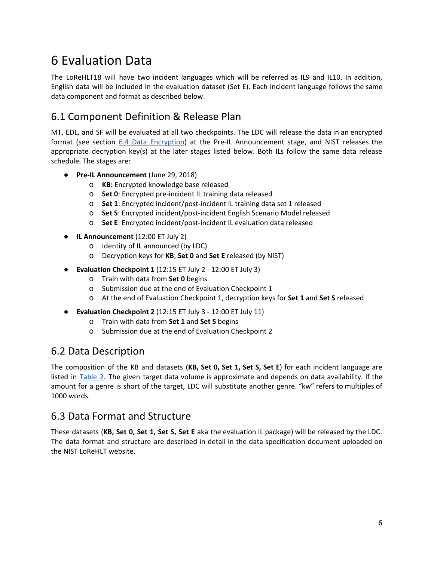# 6 Evaluation Data

The LoReHLT18 will have two incident languages which will be referred as IL9 and IL10. In addition, English data will be included in the evaluation dataset (Set E). Each incident language follows the same data component and format as described below.

## 6.1 Component Definition & Release Plan

MT, EDL, and SF will be evaluated at all two checkpoints. The LDC will release the data in an encrypted format (see section 6.4 Data [Encryption](#page-6-0)) at the Pre-IL Announcement stage, and NIST releases the appropriate decryption key(s) at the later stages listed below. Both ILs follow the same data release schedule. The stages are:

- **Pre-IL Announcement** (June 29, 2018)
	- o **KB:** Encrypted knowledge base released
	- o **Set 0**: Encrypted pre-incident IL training data released
	- o **Set 1**: Encrypted incident/post-incident IL training data set 1 released
	- o **Set S**: Encrypted incident/post-incident English Scenario Model released
	- o **Set E**: Encrypted incident/post-incident IL evaluation data released
- **IL Announcement** (12:00 ET July 2)
	- o Identity of IL announced (by LDC)
	- o Decryption keys for **KB**, **Set 0** and **Set E** released (by NIST)
- **Evaluation Checkpoint 1** (12:15 ET July 2 12:00 ET July 3)
	- o Train with data from **Set 0** begins
	- o Submission due at the end of Evaluation Checkpoint 1
	- o At the end of Evaluation Checkpoint 1, decryption keys for **Set 1** and **Set S** released
- **Evaluation Checkpoint 2** (12:15 ET July 3 12:00 ET July 11)
	- o Train with data from **Set 1** and **Set S** begins
	- o Submission due at the end of Evaluation Checkpoint 2

### 6.2 Data Description

The composition of the KB and datasets (**KB, Set 0, Set 1, Set S, Set E**) for each incident language are listed in **Table 2.** The given target data volume is approximate and depends on data availability. If the amount for a genre is short of the target, LDC will substitute another genre. "kw" refers to multiples of 1000 words.

### 6.3 Data Format and Structure

These datasets (**KB, Set 0, Set 1, Set S, Set E** aka the evaluation IL package) will be released by the LDC. The data format and structure are described in detail in the data specification document uploaded on the NIST LoReHLT website.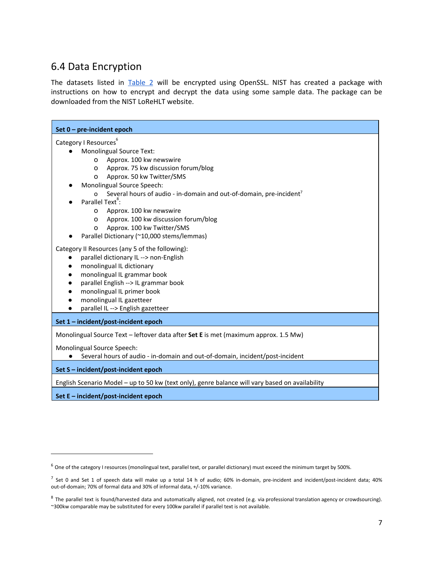## <span id="page-6-0"></span>6.4 Data Encryption

The datasets listed in Table 2 will be encrypted using OpenSSL. NIST has created a package with instructions on how to encrypt and decrypt the data using some sample data. The package can be downloaded from the NIST LoReHLT website.

| Set $0$ – pre-incident epoch                                                                                                                                                                                                                                                                                                        |
|-------------------------------------------------------------------------------------------------------------------------------------------------------------------------------------------------------------------------------------------------------------------------------------------------------------------------------------|
| Category I Resources <sup>6</sup>                                                                                                                                                                                                                                                                                                   |
| <b>Monolingual Source Text:</b>                                                                                                                                                                                                                                                                                                     |
| Approx. 100 kw newswire<br>$\circ$                                                                                                                                                                                                                                                                                                  |
| Approx. 75 kw discussion forum/blog<br>0                                                                                                                                                                                                                                                                                            |
| Approx. 50 kw Twitter/SMS<br>O                                                                                                                                                                                                                                                                                                      |
| Monolingual Source Speech:                                                                                                                                                                                                                                                                                                          |
| Several hours of audio - in-domain and out-of-domain, pre-incident <sup>7</sup><br>$\Omega$                                                                                                                                                                                                                                         |
| Parallel Text <sup>8</sup> :                                                                                                                                                                                                                                                                                                        |
| Approx. 100 kw newswire<br>O                                                                                                                                                                                                                                                                                                        |
| Approx. 100 kw discussion forum/blog<br>O                                                                                                                                                                                                                                                                                           |
| Approx. 100 kw Twitter/SMS<br>$\Omega$                                                                                                                                                                                                                                                                                              |
| Parallel Dictionary (~10,000 stems/lemmas)                                                                                                                                                                                                                                                                                          |
| Category II Resources (any 5 of the following):<br>parallel dictionary IL --> non-English<br>$\bullet$<br>monolingual IL dictionary<br>$\bullet$<br>monolingual IL grammar book<br>$\bullet$<br>parallel English --> IL grammar book<br>monolingual IL primer book<br>monolingual IL gazetteer<br>parallel IL --> English gazetteer |
| Set 1 - incident/post-incident epoch                                                                                                                                                                                                                                                                                                |
| Monolingual Source Text - leftover data after Set E is met (maximum approx. 1.5 Mw)                                                                                                                                                                                                                                                 |
| Monolingual Source Speech:<br>Several hours of audio - in-domain and out-of-domain, incident/post-incident                                                                                                                                                                                                                          |
| Set S - incident/post-incident epoch                                                                                                                                                                                                                                                                                                |
| English Scenario Model - up to 50 kw (text only), genre balance will vary based on availability                                                                                                                                                                                                                                     |
| Set E - incident/post-incident epoch                                                                                                                                                                                                                                                                                                |

<sup>&</sup>lt;sup>6</sup> One of the category I resources (monolingual text, parallel text, or parallel dictionary) must exceed the minimum target by 500%.

 $^7$  Set 0 and Set 1 of speech data will make up a total 14 h of audio; 60% in-domain, pre-incident and incident/post-incident data; 40% out-of-domain; 70% of formal data and 30% of informal data, +/-10% variance.

<sup>&</sup>lt;sup>8</sup> The parallel text is found/harvested data and automatically aligned, not created (e.g. via professional translation agency or crowdsourcing). ~300kw comparable may be substituted for every 100kw parallel if parallel text is not available.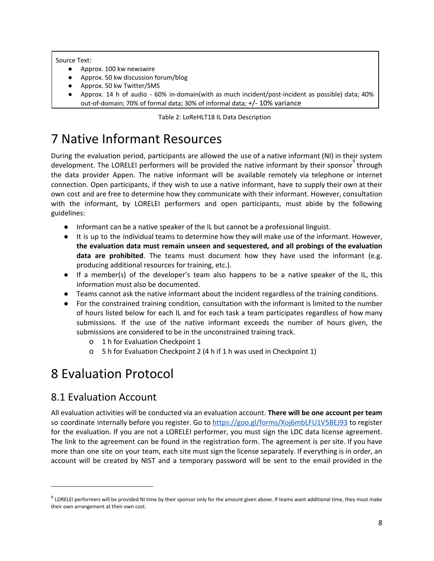#### Source Text:

- Approx. 100 kw newswire
- Approx. 50 kw discussion forum/blog
- Approx. 50 kw Twitter/SMS
- Approx. 14 h of audio 60% in-domain(with as much incident/post-incident as possible) data; 40% out-of-domain; 70% of formal data; 30% of informal data; +/- 10% variance

Table 2: LoReHLT18 IL Data Description

# <span id="page-7-0"></span>7 Native Informant Resources

During the evaluation period, participants are allowed the use of a native informant (NI) in their system development. The LORELEI performers will be provided the native informant by their sponsor<sup>9</sup> through the data provider Appen. The native informant will be available remotely via telephone or internet connection. Open participants, if they wish to use a native informant, have to supply their own at their own cost and are free to determine how they communicate with their informant. However, consultation with the informant, by LORELEI performers and open participants, must abide by the following guidelines:

- Informant can be a native speaker of the IL but cannot be a professional linguist.
- It is up to the individual teams to determine how they will make use of the informant. However, **the evaluation data must remain unseen and sequestered, and all probings of the evaluation data are prohibited**. The teams must document how they have used the informant (e.g. producing additional resources for training, etc.).
- If a member(s) of the developer's team also happens to be a native speaker of the IL, this information must also be documented.
- Teams cannot ask the native informant about the incident regardless of the training conditions.
- For the constrained training condition, consultation with the informant is limited to the number of hours listed below for each IL and for each task a team participates regardless of how many submissions. If the use of the native informant exceeds the number of hours given, the submissions are considered to be in the unconstrained training track.
	- o 1 h for Evaluation Checkpoint 1
	- o 5 h for Evaluation Checkpoint 2 (4 h if 1 h was used in Checkpoint 1)

# 8 Evaluation Protocol

### 8.1 Evaluation Account

All evaluation activities will be conducted via an evaluation account. **There will be one account per team** so coordinate internally before you register. Go to <https://goo.gl/forms/Xoj6mbLFU1V5BEJ93> to register for the evaluation. If you are not a LORELEI performer, you must sign the LDC data license agreement. The link to the agreement can be found in the registration form. The agreement is per site. If you have more than one site on your team, each site must sign the license separately. If everything is in order, an account will be created by NIST and a temporary password will be sent to the email provided in the

 $^9$  LORELEI performers will be provided NI time by their sponsor only for the amount given above. If teams want additional time, they must make their own arrangement at their own cost.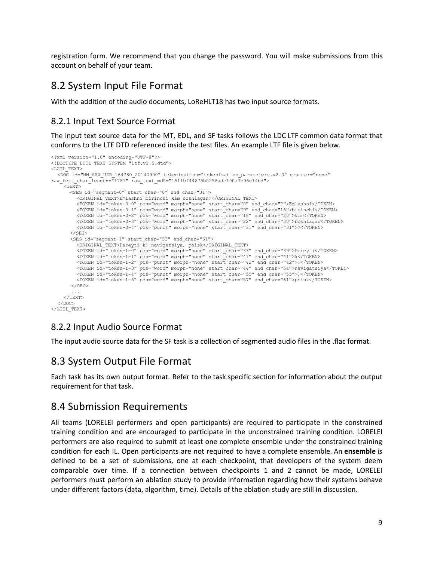registration form. We recommend that you change the password. You will make submissions from this account on behalf of your team.

### 8.2 System Input File Format

With the addition of the audio documents, LoReHLT18 has two input source formats.

#### 8.2.1 Input Text Source Format

The input text source data for the MT, EDL, and SF tasks follows the LDC LTF common data format that conforms to the LTF DTD referenced inside the test files. An example LTF file is given below.

```
<?xml version="1.0" encoding="UTF-8"?>
<!DOCTYPE LCTL_TEXT SYSTEM "ltf.v1.5.dtd">
<LCTL_TEXT>
  <DOC id="NW_ARX_UZB_164780_20140900" tokenization="tokenization_parameters.v2.0" grammar="none"
raw_text_char_length="1781" raw_text_md5="1511bf44675b0256adc190a7b96e14bd">
    <sub>TEXT></sub></sub>
      <SEG id="segment-0" start_char="0" end_char="31">
         <ORIGINAL_TEXT>Emlashni birinchi kim boshlagan?</ORIGINAL_TEXT>
         <TOKEN id="token-0-0" pos="word" morph="none" start_char="0" end_char="7">Emlashni</TOKEN>
         <TOKEN id="token-0-1" pos="word" morph="none" start_char="9" end_char="16">birinchi</TOKEN>
         <TOKEN id="token-0-2" pos="word" morph="none" start_char="18" end_char="20">kim</TOKEN>
        <TOKEN id="token-0-3" pos="word" morph="none" start_char="22" end_char="30">boshlagan</TOKEN>
        <TOKEN id="token-0-4" pos="punct" morph="none" start_char="31" end_char="31">?</TOKEN>
      </SEG><SEG id="segment-1" start_char="33" end_char="61">
         <ORIGINAL TEXT>Pereyti k: navigatsiya, poisk</ORIGINAL TEXT>
         <TOKEN id="token-1-0" pos="word" morph="none" start_char="33" end_char="39">Pereyti</TOKEN>
         <TOKEN id="token-1-1" pos="word" morph="none" start_char="41" end_char="41">k</TOKEN>
         <TOKEN id="token-1-2" pos="punct" morph="none" start_char="42" end_char="42">:</TOKEN>
         <TOKEN id="token-1-3" pos="word" morph="none" start_char="44" end_char="54">navigatsiya</TOKEN>
         <TOKEN id="token-1-4" pos="punct" morph="none" start_char="55" end_char="55">,</TOKEN>
         <TOKEN id="token-1-5" pos="word" morph="none" start_char="57" end_char="61">poisk</TOKEN>
       \langle/SEG>
       ...
    </TEXT>
  </DOC>
</LCTL_TEXT>
```
### 8.2.2 Input Audio Source Format

The input audio source data for the SF task is a collection of segmented audio files in the .flac format.

### 8.3 System Output File Format

Each task has its own output format. Refer to the task specific section for information about the output requirement for that task.

### 8.4 Submission Requirements

All teams (LORELEI performers and open participants) are required to participate in the constrained training condition and are encouraged to participate in the unconstrained training condition. LORELEI performers are also required to submit at least one complete ensemble under the constrained training condition for each IL. Open participants are not required to have a complete ensemble. An **ensemble** is defined to be a set of submissions, one at each checkpoint, that developers of the system deem comparable over time. If a connection between checkpoints 1 and 2 cannot be made, LORELEI performers must perform an ablation study to provide information regarding how their systems behave under different factors (data, algorithm, time). Details of the ablation study are still in discussion.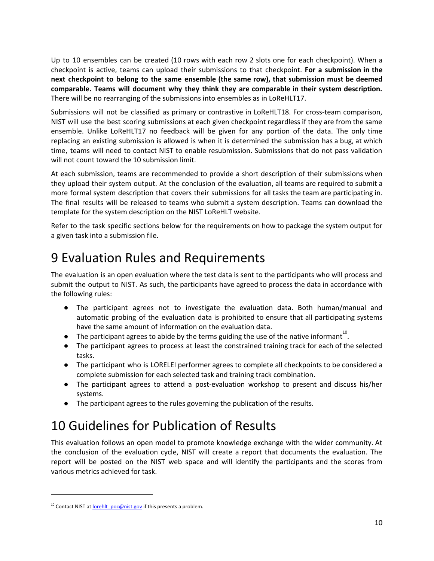Up to 10 ensembles can be created (10 rows with each row 2 slots one for each checkpoint). When a checkpoint is active, teams can upload their submissions to that checkpoint. **For a submission in the next checkpoint to belong to the same ensemble (the same row), that submission must be deemed comparable. Teams will document why they think they are comparable in their system description.** There will be no rearranging of the submissions into ensembles as in LoReHLT17.

Submissions will not be classified as primary or contrastive in LoReHLT18. For cross-team comparison, NIST will use the best scoring submissions at each given checkpoint regardless if they are from the same ensemble. Unlike LoReHLT17 no feedback will be given for any portion of the data. The only time replacing an existing submission is allowed is when it is determined the submission has a bug, at which time, teams will need to contact NIST to enable resubmission. Submissions that do not pass validation will not count toward the 10 submission limit.

At each submission, teams are recommended to provide a short description of their submissions when they upload their system output. At the conclusion of the evaluation, all teams are required to submit a more formal system description that covers their submissions for all tasks the team are participating in. The final results will be released to teams who submit a system description. Teams can download the template for the system description on the NIST LoReHLT website.

Refer to the task specific sections below for the requirements on how to package the system output for a given task into a submission file.

## <span id="page-9-0"></span>9 Evaluation Rules and Requirements

The evaluation is an open evaluation where the test data is sent to the participants who will process and submit the output to NIST. As such, the participants have agreed to process the data in accordance with the following rules:

- The participant agrees not to investigate the evaluation data. Both human/manual and automatic probing of the evaluation data is prohibited to ensure that all participating systems have the same amount of information on the evaluation data.
- $\bullet$  The participant agrees to abide by the terms guiding the use of the native informant<sup>10</sup>.
- The participant agrees to process at least the constrained training track for each of the selected tasks.
- The participant who is LORELEI performer agrees to complete all checkpoints to be considered a complete submission for each selected task and training track combination.
- The participant agrees to attend a post-evaluation workshop to present and discuss his/her systems.
- The participant agrees to the rules governing the publication of the results.

# 10 Guidelines for Publication of Results

This evaluation follows an open model to promote knowledge exchange with the wider community. At the conclusion of the evaluation cycle, NIST will create a report that documents the evaluation. The report will be posted on the NIST web space and will identify the participants and the scores from various metrics achieved for task.

<sup>&</sup>lt;sup>10</sup> Contact NIST at lorehlt poc@nist.gov if this presents a problem.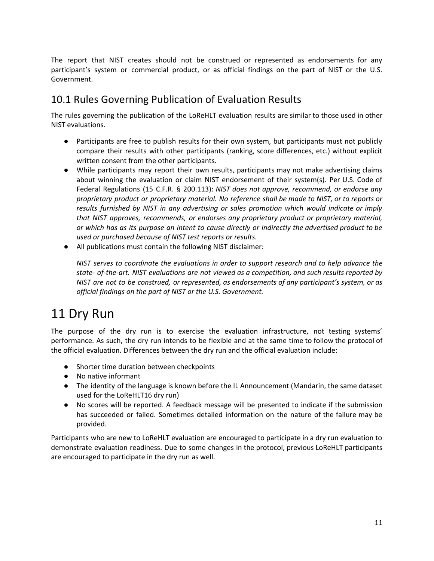The report that NIST creates should not be construed or represented as endorsements for any participant's system or commercial product, or as official findings on the part of NIST or the U.S. Government.

## 10.1 Rules Governing Publication of Evaluation Results

The rules governing the publication of the LoReHLT evaluation results are similar to those used in other NIST evaluations.

- Participants are free to publish results for their own system, but participants must not publicly compare their results with other participants (ranking, score differences, etc.) without explicit written consent from the other participants.
- While participants may report their own results, participants may not make advertising claims about winning the evaluation or claim NIST endorsement of their system(s). Per U.S. Code of Federal Regulations (15 C.F.R. § 200.113): *NIST does not approve, recommend, or endorse any proprietary product or proprietary material. No reference shall be made to NIST, or to reports or results furnished by NIST in any advertising or sales promotion which would indicate or imply that NIST approves, recommends, or endorses any proprietary product or proprietary material, or which has as its purpose an intent to cause directly or indirectly the advertised product to be used or purchased because of NIST test reports or results.*
- All publications must contain the following NIST disclaimer:

*NIST serves to coordinate the evaluations in order to support research and to help advance the state- of-the-art. NIST evaluations are not viewed as a competition, and such results reported by NIST are not to be construed, or represented, as endorsements of any participant's system, or as official findings on the part of NIST or the U.S. Government.*

# 11 Dry Run

The purpose of the dry run is to exercise the evaluation infrastructure, not testing systems' performance. As such, the dry run intends to be flexible and at the same time to follow the protocol of the official evaluation. Differences between the dry run and the official evaluation include:

- Shorter time duration between checkpoints
- No native informant
- The identity of the language is known before the IL Announcement (Mandarin, the same dataset used for the LoReHLT16 dry run)
- No scores will be reported. A feedback message will be presented to indicate if the submission has succeeded or failed. Sometimes detailed information on the nature of the failure may be provided.

Participants who are new to LoReHLT evaluation are encouraged to participate in a dry run evaluation to demonstrate evaluation readiness. Due to some changes in the protocol, previous LoReHLT participants are encouraged to participate in the dry run as well.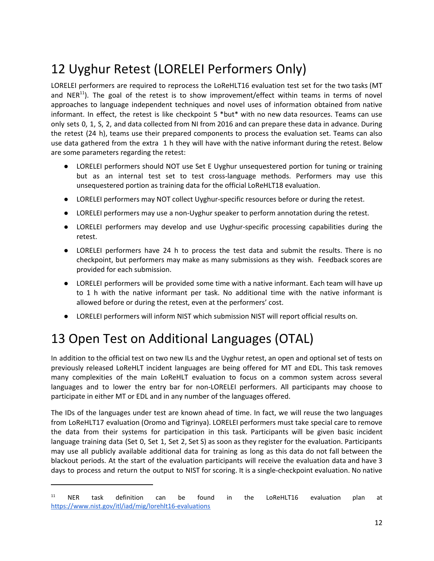# 12 Uyghur Retest (LORELEI Performers Only)

LORELEI performers are required to reprocess the LoReHLT16 evaluation test set for the two tasks (MT and NER<sup>11</sup>). The goal of the retest is to show improvement/effect within teams in terms of novel approaches to language independent techniques and novel uses of information obtained from native informant. In effect, the retest is like checkpoint 5 \*but\* with no new data resources. Teams can use only sets 0, 1, S, 2, and data collected from NI from 2016 and can prepare these data in advance. During the retest (24 h), teams use their prepared components to process the evaluation set. Teams can also use data gathered from the extra 1 h they will have with the native informant during the retest. Below are some parameters regarding the retest:

- LORELEI performers should NOT use Set E Uyghur unsequestered portion for tuning or training but as an internal test set to test cross-language methods. Performers may use this unsequestered portion as training data for the official LoReHLT18 evaluation.
- LORELEI performers may NOT collect Uyghur-specific resources before or during the retest.
- LORELEI performers may use a non-Uyghur speaker to perform annotation during the retest.
- LORELEI performers may develop and use Uyghur-specific processing capabilities during the retest.
- LORELEI performers have 24 h to process the test data and submit the results. There is no checkpoint, but performers may make as many submissions as they wish. Feedback scores are provided for each submission.
- LORELEI performers will be provided some time with a native informant. Each team will have up to 1 h with the native informant per task. No additional time with the native informant is allowed before or during the retest, even at the performers' cost.
- LORELEI performers will inform NIST which submission NIST will report official results on.

# <span id="page-11-0"></span>13 Open Test on Additional Languages (OTAL)

In addition to the official test on two new ILs and the Uyghur retest, an open and optional set of tests on previously released LoReHLT incident languages are being offered for MT and EDL. This task removes many complexities of the main LoReHLT evaluation to focus on a common system across several languages and to lower the entry bar for non-LORELEI performers. All participants may choose to participate in either MT or EDL and in any number of the languages offered.

The IDs of the languages under test are known ahead of time. In fact, we will reuse the two languages from LoReHLT17 evaluation (Oromo and Tigrinya). LORELEI performers must take special care to remove the data from their systems for participation in this task. Participants will be given basic incident language training data (Set 0, Set 1, Set 2, Set S) as soon as they register for the evaluation. Participants may use all publicly available additional data for training as long as this data do not fall between the blackout periods. At the start of the evaluation participants will receive the evaluation data and have 3 days to process and return the output to NIST for scoring. It is a single-checkpoint evaluation. No native

<sup>&</sup>lt;sup>11</sup> NER task definition can be found in the LoReHLT16 evaluation plan at <https://www.nist.gov/itl/iad/mig/lorehlt16-evaluations>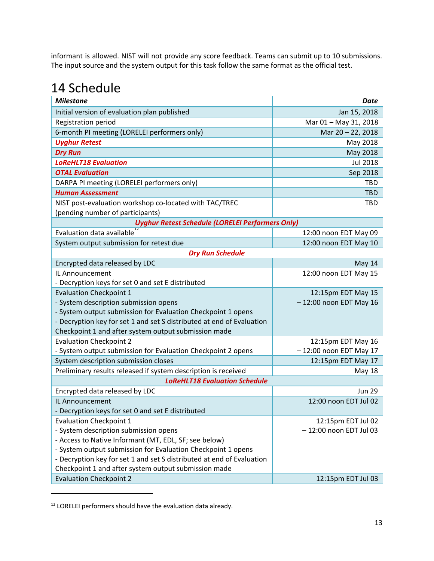informant is allowed. NIST will not provide any score feedback. Teams can submit up to 10 submissions. The input source and the system output for this task follow the same format as the official test.

# 14 Schedule

| <b>Milestone</b>                                                      | <b>Date</b>             |  |  |  |
|-----------------------------------------------------------------------|-------------------------|--|--|--|
| Initial version of evaluation plan published                          | Jan 15, 2018            |  |  |  |
| Registration period                                                   | Mar 01 - May 31, 2018   |  |  |  |
| 6-month PI meeting (LORELEI performers only)                          | Mar 20 - 22, 2018       |  |  |  |
| <b>Uyghur Retest</b>                                                  | May 2018                |  |  |  |
| <b>Dry Run</b>                                                        | May 2018                |  |  |  |
| <b>LoReHLT18 Evaluation</b>                                           | <b>Jul 2018</b>         |  |  |  |
| <b>OTAL Evaluation</b>                                                | Sep 2018                |  |  |  |
| DARPA PI meeting (LORELEI performers only)                            | <b>TBD</b>              |  |  |  |
| <b>Human Assessment</b>                                               | <b>TBD</b>              |  |  |  |
| NIST post-evaluation workshop co-located with TAC/TREC                | <b>TBD</b>              |  |  |  |
| (pending number of participants)                                      |                         |  |  |  |
| <b>Uyghur Retest Schedule (LORELEI Performers Only)</b>               |                         |  |  |  |
| Evaluation data available                                             | 12:00 noon EDT May 09   |  |  |  |
| System output submission for retest due                               | 12:00 noon EDT May 10   |  |  |  |
| <b>Dry Run Schedule</b>                                               |                         |  |  |  |
| Encrypted data released by LDC                                        | May 14                  |  |  |  |
| IL Announcement                                                       | 12:00 noon EDT May 15   |  |  |  |
| - Decryption keys for set 0 and set E distributed                     |                         |  |  |  |
| <b>Evaluation Checkpoint 1</b>                                        | 12:15pm EDT May 15      |  |  |  |
| - System description submission opens                                 | -12:00 noon EDT May 16  |  |  |  |
| - System output submission for Evaluation Checkpoint 1 opens          |                         |  |  |  |
| - Decryption key for set 1 and set S distributed at end of Evaluation |                         |  |  |  |
| Checkpoint 1 and after system output submission made                  |                         |  |  |  |
| <b>Evaluation Checkpoint 2</b>                                        | 12:15pm EDT May 16      |  |  |  |
| - System output submission for Evaluation Checkpoint 2 opens          | -12:00 noon EDT May 17  |  |  |  |
| System description submission closes                                  | 12:15pm EDT May 17      |  |  |  |
| Preliminary results released if system description is received        | May 18                  |  |  |  |
| <b>LoReHLT18 Evaluation Schedule</b>                                  |                         |  |  |  |
| Encrypted data released by LDC                                        | <b>Jun 29</b>           |  |  |  |
| IL Announcement                                                       | 12:00 noon EDT Jul 02   |  |  |  |
| - Decryption keys for set 0 and set E distributed                     |                         |  |  |  |
| <b>Evaluation Checkpoint 1</b>                                        | 12:15pm EDT Jul 02      |  |  |  |
| - System description submission opens                                 | - 12:00 noon EDT Jul 03 |  |  |  |
| - Access to Native Informant (MT, EDL, SF; see below)                 |                         |  |  |  |
| - System output submission for Evaluation Checkpoint 1 opens          |                         |  |  |  |
| - Decryption key for set 1 and set S distributed at end of Evaluation |                         |  |  |  |
| Checkpoint 1 and after system output submission made                  |                         |  |  |  |
| <b>Evaluation Checkpoint 2</b>                                        | 12:15pm EDT Jul 03      |  |  |  |

<sup>&</sup>lt;sup>12</sup> LORELEI performers should have the evaluation data already.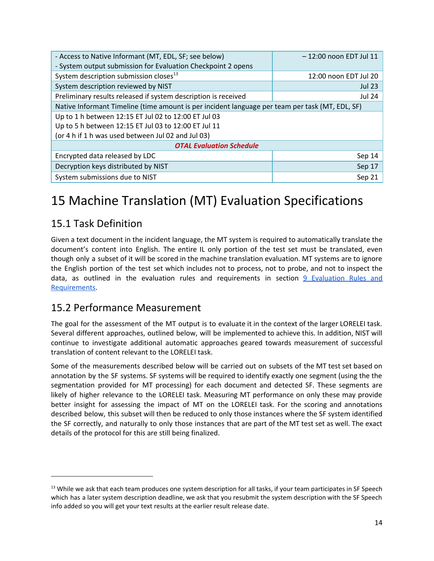| - Access to Native Informant (MT, EDL, SF; see below)                                           | $-12:00$ noon EDT Jul 11 |  |  |  |
|-------------------------------------------------------------------------------------------------|--------------------------|--|--|--|
| - System output submission for Evaluation Checkpoint 2 opens                                    |                          |  |  |  |
| System description submission closes <sup>13</sup>                                              | 12:00 noon EDT Jul 20    |  |  |  |
| System description reviewed by NIST                                                             | <b>Jul 23</b>            |  |  |  |
| Preliminary results released if system description is received                                  | <b>Jul 24</b>            |  |  |  |
| Native Informant Timeline (time amount is per incident language per team per task (MT, EDL, SF) |                          |  |  |  |
| Up to 1 h between 12:15 ET Jul 02 to 12:00 ET Jul 03                                            |                          |  |  |  |
| Up to 5 h between 12:15 ET Jul 03 to 12:00 ET Jul 11                                            |                          |  |  |  |
| (or 4 h if 1 h was used between Jul 02 and Jul 03)                                              |                          |  |  |  |
| <b>OTAL Evaluation Schedule</b>                                                                 |                          |  |  |  |
| Encrypted data released by LDC                                                                  | Sep 14                   |  |  |  |
| Decryption keys distributed by NIST                                                             | Sep 17                   |  |  |  |
| System submissions due to NIST                                                                  | Sep 21                   |  |  |  |

# <span id="page-13-0"></span>15 Machine Translation (MT) Evaluation Specifications

### 15.1 Task Definition

Given a text document in the incident language, the MT system is required to automatically translate the document's content into English. The entire IL only portion of the test set must be translated, even though only a subset of it will be scored in the machine translation evaluation. MT systems are to ignore the English portion of the test set which includes not to process, not to probe, and not to inspect the data, as outlined in the evaluation rules and requirements in section 9 [Evaluation](#page-9-0) Rules and [Requirements.](#page-9-0)

### 15.2 Performance Measurement

The goal for the assessment of the MT output is to evaluate it in the context of the larger LORELEI task. Several different approaches, outlined below, will be implemented to achieve this. In addition, NIST will continue to investigate additional automatic approaches geared towards measurement of successful translation of content relevant to the LORELEI task.

Some of the measurements described below will be carried out on subsets of the MT test set based on annotation by the SF systems. SF systems will be required to identify exactly one segment (using the the segmentation provided for MT processing) for each document and detected SF. These segments are likely of higher relevance to the LORELEI task. Measuring MT performance on only these may provide better insight for assessing the impact of MT on the LORELEI task. For the scoring and annotations described below, this subset will then be reduced to only those instances where the SF system identified the SF correctly, and naturally to only those instances that are part of the MT test set as well. The exact details of the protocol for this are still being finalized.

<sup>&</sup>lt;sup>13</sup> While we ask that each team produces one system description for all tasks, if your team participates in SF Speech which has a later system description deadline, we ask that you resubmit the system description with the SF Speech info added so you will get your text results at the earlier result release date.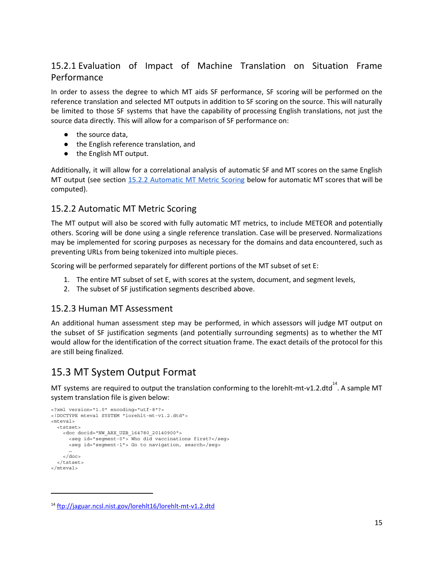### 15.2.1 Evaluation of Impact of Machine Translation on Situation Frame Performance

In order to assess the degree to which MT aids SF performance, SF scoring will be performed on the reference translation and selected MT outputs in addition to SF scoring on the source. This will naturally be limited to those SF systems that have the capability of processing English translations, not just the source data directly. This will allow for a comparison of SF performance on:

- the source data.
- the English reference translation, and
- the English MT output.

Additionally, it will allow for a correlational analysis of automatic SF and MT scores on the same English MT output (see section 15.2.2 [Automatic](#page-14-0) MT Metric Scoring below for automatic MT scores that will be computed).

#### <span id="page-14-0"></span>15.2.2 Automatic MT Metric Scoring

The MT output will also be scored with fully automatic MT metrics, to include METEOR and potentially others. Scoring will be done using a single reference translation. Case will be preserved. Normalizations may be implemented for scoring purposes as necessary for the domains and data encountered, such as preventing URLs from being tokenized into multiple pieces.

Scoring will be performed separately for different portions of the MT subset of set E:

- 1. The entire MT subset of set E, with scores at the system, document, and segment levels,
- 2. The subset of SF justification segments described above.

#### <span id="page-14-2"></span>15.2.3 Human MT Assessment

An additional human assessment step may be performed, in which assessors will judge MT output on the subset of SF justification segments (and potentially surrounding segments) as to whether the MT would allow for the identification of the correct situation frame. The exact details of the protocol for this are still being finalized.

#### <span id="page-14-1"></span>15.3 MT System Output Format

MT systems are required to output the translation conforming to the lorehlt-mt-v1.2.dtd<sup>14</sup>. A sample MT system translation file is given below:

```
<?xml version="1.0" encoding="utf-8"?>
<!DOCTYPE mteval SYSTEM "lorehlt-mt-v1.2.dtd">
<mteval>
  <tstset>
    <doc docid="NW_ARX_UZB_164780_20140900">
      <seg id="segment-0"> Who did vaccinations first?</seg>
      <seg id="segment-1"> Go to navigation, search</seg>
      …
    </doc>
  </tstset>
</mteval>
```
<sup>14</sup> <ftp://jaguar.ncsl.nist.gov/lorehlt16/lorehlt-mt-v1.2.dtd>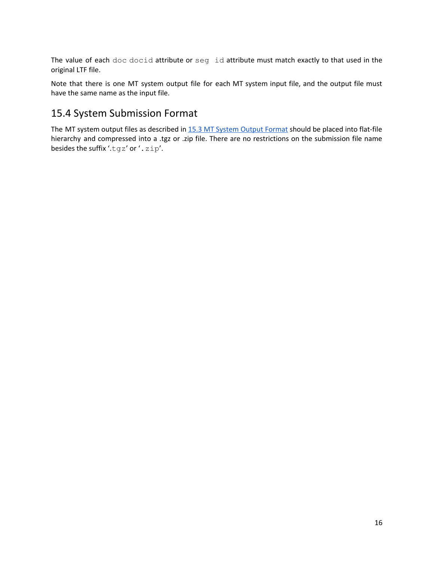The value of each doc docid attribute or seg id attribute must match exactly to that used in the original LTF file.

Note that there is one MT system output file for each MT system input file, and the output file must have the same name as the input file.

## 15.4 System Submission Format

The MT system output files as described in 15.3 MT [System](#page-14-1) Output Format should be placed into flat-file hierarchy and compressed into a .tgz or .zip file. There are no restrictions on the submission file name besides the suffix '.tgz' or '.zip'.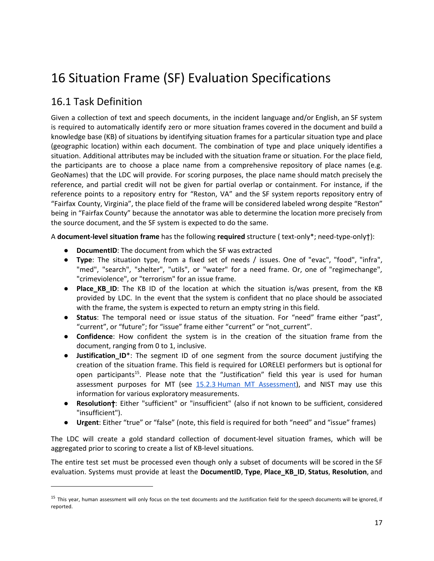# <span id="page-16-0"></span>16 Situation Frame (SF) Evaluation Specifications

### 16.1 Task Definition

Given a collection of text and speech documents, in the incident language and/or English, an SF system is required to automatically identify zero or more situation frames covered in the document and build a knowledge base (KB) of situations by identifying situation frames for a particular situation type and place (geographic location) within each document. The combination of type and place uniquely identifies a situation. Additional attributes may be included with the situation frame or situation. For the place field, the participants are to choose a place name from a comprehensive repository of place names (e.g. GeoNames) that the LDC will provide. For scoring purposes, the place name should match precisely the reference, and partial credit will not be given for partial overlap or containment. For instance, if the reference points to a repository entry for "Reston, VA" and the SF system reports repository entry of "Fairfax County, Virginia", the place field of the frame will be considered labeled wrong despite "Reston" being in "Fairfax County" because the annotator was able to determine the location more precisely from the source document, and the SF system is expected to do the same.

A **document-level situation frame** has the following **required** structure ( text-only\*; need-type-only†):

- **DocumentID**: The document from which the SF was extracted
- **Type**: The situation type, from a fixed set of needs / issues. One of "evac", "food", "infra", "med", "search", "shelter", "utils", or "water" for a need frame. Or, one of "regimechange", "crimeviolence", or "terrorism" for an issue frame.
- **Place KB ID**: The KB ID of the location at which the situation is/was present, from the KB provided by LDC. In the event that the system is confident that no place should be associated with the frame, the system is expected to return an empty string in this field.
- **Status**: The temporal need or issue status of the situation. For "need" frame either "past", "current", or "future"; for "issue" frame either "current" or "not\_current".
- **Confidence**: How confident the system is in the creation of the situation frame from the document, ranging from 0 to 1, inclusive.
- **Justification\_ID**\*: The segment ID of one segment from the source document justifying the creation of the situation frame. This field is required for LORELEI performers but is optional for open participants<sup>15</sup>. Please note that the "Justification" field this year is used for human assessment purposes for MT (see 15.2.3 Human MT [Assessment\)](#page-14-2), and NIST may use this information for various exploratory measurements.
- **Resolution**†: Either "sufficient" or "insufficient" (also if not known to be sufficient, considered "insufficient").
- **Urgent**: Either "true" or "false" (note, this field is required for both "need" and "issue" frames)

The LDC will create a gold standard collection of document-level situation frames, which will be aggregated prior to scoring to create a list of KB-level situations.

The entire test set must be processed even though only a subset of documents will be scored in the SF evaluation. Systems must provide at least the **DocumentID**, **Type**, **Place\_KB\_ID**, **Status**, **Resolution**, and

<sup>&</sup>lt;sup>15</sup> This year, human assessment will only focus on the text documents and the Justification field for the speech documents will be ignored, if reported.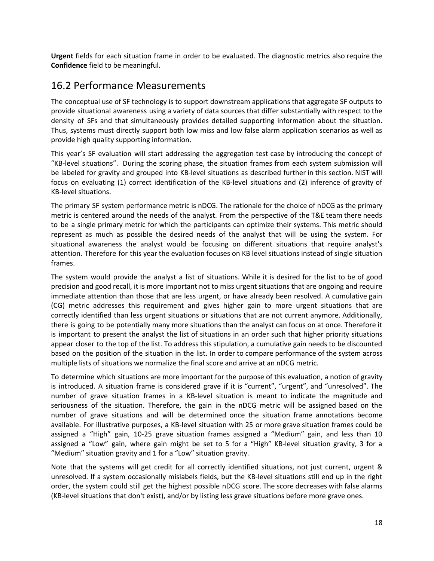**Urgent** fields for each situation frame in order to be evaluated. The diagnostic metrics also require the **Confidence** field to be meaningful.

### 16.2 Performance Measurements

The conceptual use of SF technology is to support downstream applications that aggregate SF outputs to provide situational awareness using a variety of data sources that differ substantially with respect to the density of SFs and that simultaneously provides detailed supporting information about the situation. Thus, systems must directly support both low miss and low false alarm application scenarios as well as provide high quality supporting information.

This year's SF evaluation will start addressing the aggregation test case by introducing the concept of "KB-level situations". During the scoring phase, the situation frames from each system submission will be labeled for gravity and grouped into KB-level situations as described further in this section. NIST will focus on evaluating (1) correct identification of the KB-level situations and (2) inference of gravity of KB-level situations.

The primary SF system performance metric is nDCG. The rationale for the choice of nDCG as the primary metric is centered around the needs of the analyst. From the perspective of the T&E team there needs to be a single primary metric for which the participants can optimize their systems. This metric should represent as much as possible the desired needs of the analyst that will be using the system. For situational awareness the analyst would be focusing on different situations that require analyst's attention. Therefore for this year the evaluation focuses on KB level situations instead of single situation frames.

The system would provide the analyst a list of situations. While it is desired for the list to be of good precision and good recall, it is more important not to miss urgent situations that are ongoing and require immediate attention than those that are less urgent, or have already been resolved. A cumulative gain (CG) metric addresses this requirement and gives higher gain to more urgent situations that are correctly identified than less urgent situations or situations that are not current anymore. Additionally, there is going to be potentially many more situations than the analyst can focus on at once. Therefore it is important to present the analyst the list of situations in an order such that higher priority situations appear closer to the top of the list. To address this stipulation, a cumulative gain needs to be discounted based on the position of the situation in the list. In order to compare performance of the system across multiple lists of situations we normalize the final score and arrive at an nDCG metric.

To determine which situations are more important for the purpose of this evaluation, a notion of gravity is introduced. A situation frame is considered grave if it is "current", "urgent", and "unresolved". The number of grave situation frames in a KB-level situation is meant to indicate the magnitude and seriousness of the situation. Therefore, the gain in the nDCG metric will be assigned based on the number of grave situations and will be determined once the situation frame annotations become available. For illustrative purposes, a KB-level situation with 25 or more grave situation frames could be assigned a "High" gain, 10-25 grave situation frames assigned a "Medium" gain, and less than 10 assigned a "Low" gain, where gain might be set to 5 for a "High" KB-level situation gravity, 3 for a "Medium" situation gravity and 1 for a "Low" situation gravity.

Note that the systems will get credit for all correctly identified situations, not just current, urgent & unresolved. If a system occasionally mislabels fields, but the KB-level situations still end up in the right order, the system could still get the highest possible nDCG score. The score decreases with false alarms (KB-level situations that don't exist), and/or by listing less grave situations before more grave ones.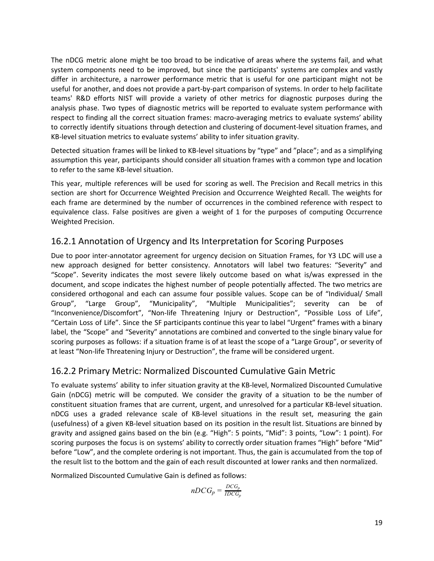The nDCG metric alone might be too broad to be indicative of areas where the systems fail, and what system components need to be improved, but since the participants' systems are complex and vastly differ in architecture, a narrower performance metric that is useful for one participant might not be useful for another, and does not provide a part-by-part comparison of systems. In order to help facilitate teams' R&D efforts NIST will provide a variety of other metrics for diagnostic purposes during the analysis phase. Two types of diagnostic metrics will be reported to evaluate system performance with respect to finding all the correct situation frames: macro-averaging metrics to evaluate systems' ability to correctly identify situations through detection and clustering of document-level situation frames, and KB-level situation metrics to evaluate systems' ability to infer situation gravity.

Detected situation frames will be linked to KB-level situations by "type" and "place"; and as a simplifying assumption this year, participants should consider all situation frames with a common type and location to refer to the same KB-level situation.

This year, multiple references will be used for scoring as well. The Precision and Recall metrics in this section are short for Occurrence Weighted Precision and Occurrence Weighted Recall. The weights for each frame are determined by the number of occurrences in the combined reference with respect to equivalence class. False positives are given a weight of 1 for the purposes of computing Occurrence Weighted Precision.

### 16.2.1 Annotation of Urgency and Its Interpretation for Scoring Purposes

Due to poor inter-annotator agreement for urgency decision on Situation Frames, for Y3 LDC will use a new approach designed for better consistency. Annotators will label two features: "Severity" and "Scope". Severity indicates the most severe likely outcome based on what is/was expressed in the document, and scope indicates the highest number of people potentially affected. The two metrics are considered orthogonal and each can assume four possible values. Scope can be of "Individual/ Small Group", "Large Group", "Municipality", "Multiple Municipalities"; severity can be of "Inconvenience/Discomfort", "Non-life Threatening Injury or Destruction", "Possible Loss of Life", "Certain Loss of Life". Since the SF participants continue this year to label "Urgent" frames with a binary label, the "Scope" and "Severity" annotations are combined and converted to the single binary value for scoring purposes as follows: if a situation frame is of at least the scope of a "Large Group", or severity of at least "Non-life Threatening Injury or Destruction", the frame will be considered urgent.

#### 16.2.2 Primary Metric: Normalized Discounted Cumulative Gain Metric

To evaluate systems' ability to infer situation gravity at the KB-level, Normalized Discounted Cumulative Gain (nDCG) metric will be computed. We consider the gravity of a situation to be the number of constituent situation frames that are current, urgent, and unresolved for a particular KB-level situation. nDCG uses a graded relevance scale of KB-level situations in the result set, measuring the gain (usefulness) of a given KB-level situation based on its position in the result list. Situations are binned by gravity and assigned gains based on the bin (e.g. "High": 5 points, "Mid": 3 points, "Low": 1 point). For scoring purposes the focus is on systems' ability to correctly order situation frames "High" before "Mid" before "Low", and the complete ordering is not important. Thus, the gain is accumulated from the top of the result list to the bottom and the gain of each result discounted at lower ranks and then normalized.

Normalized Discounted Cumulative Gain is defined as follows:

$$
nDCG_p = \frac{DCG_p}{IDCG_p}
$$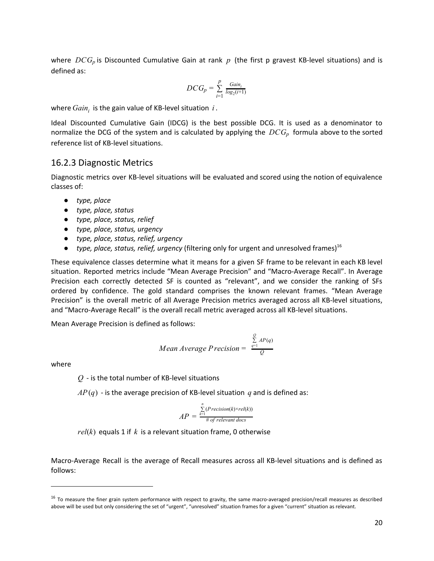where *DCG<sub>p</sub>* is Discounted Cumulative Gain at rank *p* (the first p gravest KB-level situations) and is defined as:

$$
DCG_p = \sum_{i=1}^p \frac{Gain_i}{log_2(i+1)}
$$

where  $Gain_i$  is the gain value of KB-level situation  $i$ .

Ideal Discounted Cumulative Gain (IDCG) is the best possible DCG. It is used as a denominator to normalize the DCG of the system and is calculated by applying the *DCG<sup>p</sup>* formula above to the sorted reference list of KB-level situations.

#### <span id="page-19-0"></span>16.2.3 Diagnostic Metrics

Diagnostic metrics over KB-level situations will be evaluated and scored using the notion of equivalence classes of:

- *● type, place*
- *● type, place, status*
- *● type, place, status, relief*
- *● type, place, status, urgency*
- *● type, place, status, relief, urgency*
- *● type, place, status, relief, urgency* (filtering only for urgent and unresolved frames) 16

These equivalence classes determine what it means for a given SF frame to be relevant in each KB level situation. Reported metrics include "Mean Average Precision" and "Macro-Average Recall". In Average Precision each correctly detected SF is counted as "relevant", and we consider the ranking of SFs ordered by confidence. The gold standard comprises the known relevant frames. "Mean Average Precision" is the overall metric of all Average Precision metrics averaged across all KB-level situations, and "Macro-Average Recall" is the overall recall metric averaged across all KB-level situations.

Mean Average Precision is defined as follows:

Mean Average Precision = 
$$
\frac{\sum_{q=1}^{8} AP(q)}{Q}
$$

 $\theta$ 

where

*Q* - is the total number of KB-level situations

 $AP(q)$  - is the average precision of KB-level situation *q* and is defined as:

$$
AP = \frac{\sum_{k=1}^{n} (Precision(k) \times rel(k))}{\text{\# of relevant docs}}
$$

 $rel(k)$  equals 1 if  $k$  is a relevant situation frame, 0 otherwise

Macro-Average Recall is the average of Recall measures across all KB-level situations and is defined as follows:

 $16$  To measure the finer grain system performance with respect to gravity, the same macro-averaged precision/recall measures as described above will be used but only considering the set of "urgent", "unresolved" situation frames for a given "current" situation as relevant.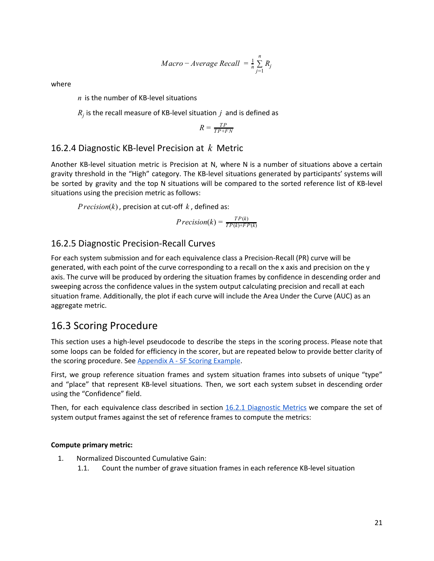$$
Maccro - Average Recall = \frac{1}{n} \sum_{j=1}^{n} R_j
$$

where

*n* is the number of KB-level situations

 $R_j$  is the recall measure of KB-level situation  $j$  and is defined as

$$
R = \frac{TP}{TP + FN}
$$

#### 16.2.4 Diagnostic KB-level Precision at *k* Metric

Another KB-level situation metric is Precision at N, where N is a number of situations above a certain gravity threshold in the "High" category. The KB-level situations generated by participants' systems will be sorted by gravity and the top N situations will be compared to the sorted reference list of KB-level situations using the precision metric as follows:

*Precision*(*k*) , precision at cut-off *k* , defined as:

$$
Precision(k) = \frac{TP(k)}{TP(k) + FP(k)}
$$

#### 16.2.5 Diagnostic Precision-Recall Curves

For each system submission and for each equivalence class a Precision-Recall (PR) curve will be generated, with each point of the curve corresponding to a recall on the x axis and precision on the y axis. The curve will be produced by ordering the situation frames by confidence in descending order and sweeping across the confidence values in the system output calculating precision and recall at each situation frame. Additionally, the plot if each curve will include the Area Under the Curve (AUC) as an aggregate metric.

### 16.3 Scoring Procedure

This section uses a high-level pseudocode to describe the steps in the scoring process. Please note that some loops can be folded for efficiency in the scorer, but are repeated below to provide better clarity of the scoring procedure. See Appendix A - SF Scoring Example.

First, we group reference situation frames and system situation frames into subsets of unique "type" and "place" that represent KB-level situations. Then, we sort each system subset in descending order using the "Confidence" field.

Then, for each equivalence class described in section 16.2.1 [Diagnostic](#page-19-0) Metrics we compare the set of system output frames against the set of reference frames to compute the metrics:

#### **Compute primary metric:**

- 1. Normalized Discounted Cumulative Gain:
	- 1.1. Count the number of grave situation frames in each reference KB-level situation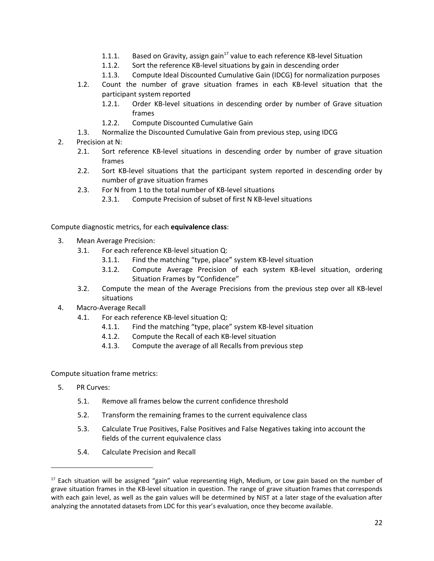- 1.1.1. Based on Gravity, assign gain $^{17}$  value to each reference KB-level Situation
- 1.1.2. Sort the reference KB-level situations by gain in descending order
- 1.1.3. Compute Ideal Discounted Cumulative Gain (IDCG) for normalization purposes
- 1.2. Count the number of grave situation frames in each KB-level situation that the participant system reported
	- 1.2.1. Order KB-level situations in descending order by number of Grave situation frames
	- 1.2.2. Compute Discounted Cumulative Gain
- 1.3. Normalize the Discounted Cumulative Gain from previous step, using IDCG
- 2. Precision at N:
	- 2.1. Sort reference KB-level situations in descending order by number of grave situation frames
	- 2.2. Sort KB-level situations that the participant system reported in descending order by number of grave situation frames
	- 2.3. For N from 1 to the total number of KB-level situations
		- 2.3.1. Compute Precision of subset of first N KB-level situations

Compute diagnostic metrics, for each **equivalence class**:

- 3. Mean Average Precision:
	- 3.1. For each reference KB-level situation Q:
		- 3.1.1. Find the matching "type, place" system KB-level situation
		- 3.1.2. Compute Average Precision of each system KB-level situation, ordering Situation Frames by "Confidence"
	- 3.2. Compute the mean of the Average Precisions from the previous step over all KB-level situations
- 4. Macro-Average Recall
	- 4.1. For each reference KB-level situation Q:
		- 4.1.1. Find the matching "type, place" system KB-level situation
		- 4.1.2. Compute the Recall of each KB-level situation
		- 4.1.3. Compute the average of all Recalls from previous step

Compute situation frame metrics:

- 5. PR Curves:
	- 5.1. Remove all frames below the current confidence threshold
	- 5.2. Transform the remaining frames to the current equivalence class
	- 5.3. Calculate True Positives, False Positives and False Negatives taking into account the fields of the current equivalence class
	- 5.4. Calculate Precision and Recall

<sup>&</sup>lt;sup>17</sup> Each situation will be assigned "gain" value representing High, Medium, or Low gain based on the number of grave situation frames in the KB-level situation in question. The range of grave situation frames that corresponds with each gain level, as well as the gain values will be determined by NIST at a later stage of the evaluation after analyzing the annotated datasets from LDC for this year's evaluation, once they become available.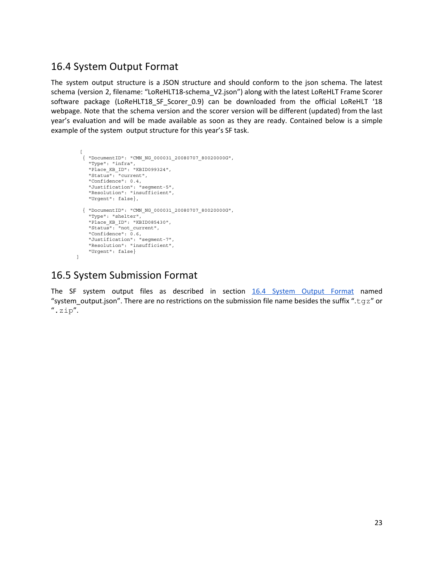### <span id="page-22-0"></span>16.4 System Output Format

The system output structure is a JSON structure and should conform to the json schema. The latest schema (version 2, filename: "LoReHLT18-schema\_V2.json") along with the latest LoReHLT Frame Scorer software package (LoReHLT18\_SF\_Scorer\_0.9) can be downloaded from the official LoReHLT '18 webpage. Note that the schema version and the scorer version will be different (updated) from the last year's evaluation and will be made available as soon as they are ready. Contained below is a simple example of the system output structure for this year's SF task.

```
\Gamma{ "DocumentID": "CMN_NG_000031_20080707_80020000G",
    "Type": "infra",
    "Place_KB_ID": "KBID099324",
    "Status": "current",
    "Confidence": 0.4,
    "Justification": "segment-5",
    "Resolution": "insufficient",
    "Urgent": false},
  { "DocumentID": "CMN_NG_000031_20080707_80020000G",
    "Type": "shelter",
    "Place_KB_ID": "KBID085430",
    "Status": "not_current",
    "Confidence": \overline{0.6},
    "Justification": "segment-7",
    "Resolution": "insufficient",
    "Urgent": false}
]
```
### 16.5 System Submission Format

The SF system output files as described in section 16.4 System Output [Format](#page-22-0) named "system output.json". There are no restrictions on the submission file name besides the suffix ".tgz" or ".zip".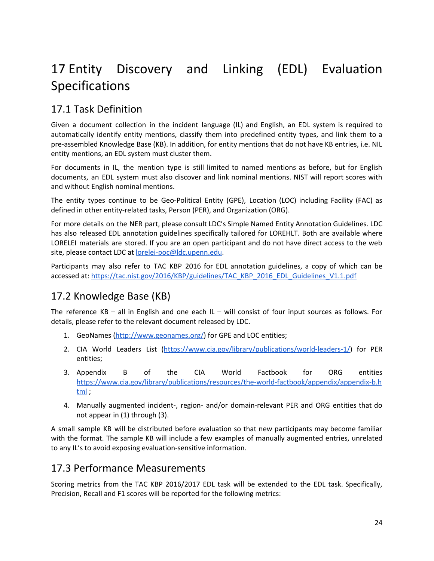# <span id="page-23-0"></span>17 Entity Discovery and Linking (EDL) Evaluation Specifications

## 17.1 Task Definition

Given a document collection in the incident language (IL) and English, an EDL system is required to automatically identify entity mentions, classify them into predefined entity types, and link them to a pre-assembled Knowledge Base (KB). In addition, for entity mentions that do not have KB entries, i.e. NIL entity mentions, an EDL system must cluster them.

For documents in IL, the mention type is still limited to named mentions as before, but for English documents, an EDL system must also discover and link nominal mentions. NIST will report scores with and without English nominal mentions.

The entity types continue to be Geo-Political Entity (GPE), Location (LOC) including Facility (FAC) as defined in other entity-related tasks, Person (PER), and Organization (ORG).

For more details on the NER part, please consult LDC's Simple Named Entity Annotation Guidelines. LDC has also released EDL annotation guidelines specifically tailored for LOREHLT. Both are available where LORELEI materials are stored. If you are an open participant and do not have direct access to the web site, please contact LDC at [lorelei-poc@ldc.upenn.edu.](mailto:lorelei-poc@ldc.upenn.edu)

Participants may also refer to TAC KBP 2016 for EDL annotation guidelines, a copy of which can be accessed at: [https://tac.nist.gov/2016/KBP/guidelines/TAC\\_KBP\\_2016\\_EDL\\_Guidelines\\_V1.1.pdf](https://tac.nist.gov/2016/KBP/guidelines/TAC_KBP_2016_EDL_Guidelines_V1.1.pdf)

## 17.2 Knowledge Base (KB)

The reference KB – all in English and one each IL – will consist of four input sources as follows. For details, please refer to the relevant document released by LDC.

- 1. GeoNames (<http://www.geonames.org/>) for GPE and LOC entities;
- 2. CIA World Leaders List [\(https://www.cia.gov/library/publications/world-leaders-1/](https://www.cia.gov/library/publications/world-leaders-1/)) for PER entities;
- 3. Appendix B of the CIA World Factbook for ORG entities [https://www.cia.gov/library/publications/resources/the-world-factbook/appendix/appendix-b.h](https://www.cia.gov/library/publications/resources/the-world-factbook/appendix/appendix-b.html) [tml](https://www.cia.gov/library/publications/resources/the-world-factbook/appendix/appendix-b.html) ;
- 4. Manually augmented incident-, region- and/or domain-relevant PER and ORG entities that do not appear in (1) through (3).

A small sample KB will be distributed before evaluation so that new participants may become familiar with the format. The sample KB will include a few examples of manually augmented entries, unrelated to any IL's to avoid exposing evaluation-sensitive information.

### 17.3 Performance Measurements

Scoring metrics from the TAC KBP 2016/2017 EDL task will be extended to the EDL task. Specifically, Precision, Recall and F1 scores will be reported for the following metrics: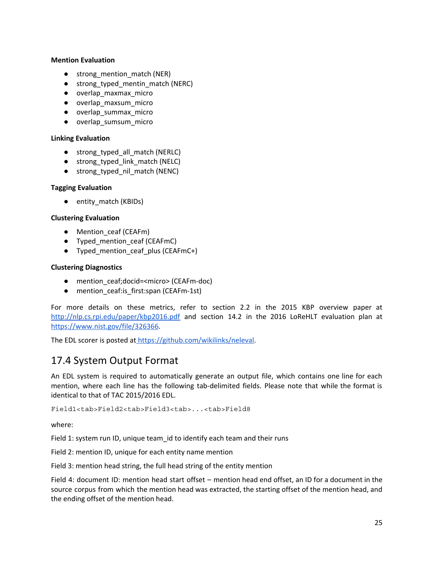#### **Mention Evaluation**

- strong\_mention\_match (NER)
- strong typed mentin match (NERC)
- overlap\_maxmax\_micro
- overlap\_maxsum\_micro
- overlap\_summax\_micro
- overlap\_sumsum\_micro

#### **Linking Evaluation**

- strong\_typed\_all\_match (NERLC)
- strong\_typed\_link\_match (NELC)
- strong\_typed\_nil\_match (NENC)

#### **Tagging Evaluation**

● entity\_match (KBIDs)

#### **Clustering Evaluation**

- Mention ceaf (CEAFm)
- Typed\_mention\_ceaf (CEAFmC)
- Typed\_mention\_ceaf\_plus (CEAFmC+)

#### **Clustering Diagnostics**

- mention ceaf;docid=<micro> (CEAFm-doc)
- mention\_ceaf:is\_first:span (CEAFm-1st)

For more details on these metrics, refer to section 2.2 in the 2015 KBP overview paper at <http://nlp.cs.rpi.edu/paper/kbp2016.pdf> and section 14.2 in the 2016 LoReHLT evaluation plan at [https://www.nist.gov/file/326366.](https://www.nist.gov/file/326366)

The EDL scorer is posted at <https://github.com/wikilinks/neleval>.

### 17.4 System Output Format

An EDL system is required to automatically generate an output file, which contains one line for each mention, where each line has the following tab-delimited fields. Please note that while the format is identical to that of TAC 2015/2016 EDL.

Field1<tab>Field2<tab>Field3<tab>...<tab>Field8

where:

Field 1: system run ID, unique team\_id to identify each team and their runs

Field 2: mention ID, unique for each entity name mention

Field 3: mention head string, the full head string of the entity mention

Field 4: document ID: mention head start offset – mention head end offset, an ID for a document in the source corpus from which the mention head was extracted, the starting offset of the mention head, and the ending offset of the mention head.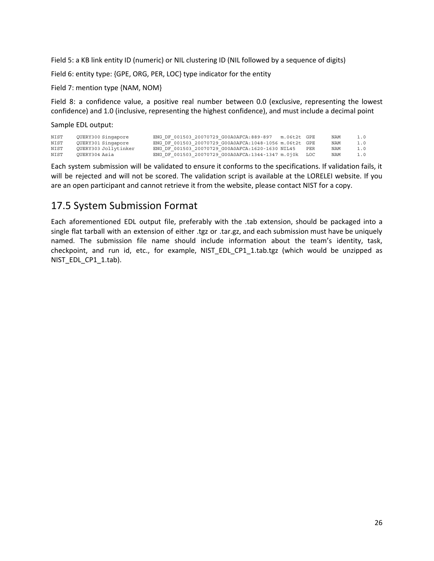Field 5: a KB link entity ID (numeric) or NIL clustering ID (NIL followed by a sequence of digits)

Field 6: entity type: {GPE, ORG, PER, LOC} type indicator for the entity

Field 7: mention type {NAM, NOM}

Field 8: a confidence value, a positive real number between 0.0 (exclusive, representing the lowest confidence) and 1.0 (inclusive, representing the highest confidence), and must include a decimal point

Sample EDL output:

| NIST | OUERY300 Singapore   | ENG DF 001503 20070729 G00A0AFCA:889-897               | m.06t2t GPE |     | NAM | 1.0 |
|------|----------------------|--------------------------------------------------------|-------------|-----|-----|-----|
| NIST | OUERY301 Singapore   | ENG DF 001503 20070729 G00A0AFCA:1048-1056 m.06t2t GPE |             |     | NAM | 1.0 |
| NIST | OUERY303 Jollytinker | ENG DF 001503 20070729 G00A0AFCA:1620-1630 NIL45       |             | PER | NAM | 1.0 |
| NIST | OUERY304 Asia        | ENG DF 001503 20070729 G00A0AFCA:1344-1347 m.0j0k LOC  |             |     | NAM | 1.0 |

Each system submission will be validated to ensure it conforms to the specifications. If validation fails, it will be rejected and will not be scored. The validation script is available at the LORELEI website. If you are an open participant and cannot retrieve it from the website, please contact NIST for a copy.

### 17.5 System Submission Format

Each aforementioned EDL output file, preferably with the .tab extension, should be packaged into a single flat tarball with an extension of either .tgz or .tar.gz, and each submission must have be uniquely named. The submission file name should include information about the team's identity, task, checkpoint, and run id, etc., for example, NIST\_EDL\_CP1\_1.tab.tgz (which would be unzipped as NIST\_EDL\_CP1\_1.tab).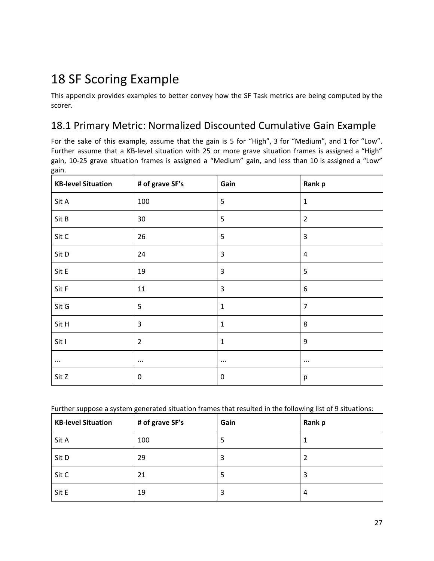# 18 SF Scoring Example

This appendix provides examples to better convey how the SF Task metrics are being computed by the scorer.

### 18.1 Primary Metric: Normalized Discounted Cumulative Gain Example

For the sake of this example, assume that the gain is 5 for "High", 3 for "Medium", and 1 for "Low". Further assume that a KB-level situation with 25 or more grave situation frames is assigned a "High" gain, 10-25 grave situation frames is assigned a "Medium" gain, and less than 10 is assigned a "Low" gain.

| <b>KB-level Situation</b> | # of grave SF's | Gain           | Rank p         |
|---------------------------|-----------------|----------------|----------------|
| Sit A                     | 100             | 5              | $\mathbf{1}$   |
| Sit B                     | 30              | 5              | $\overline{2}$ |
| Sit C                     | 26              | 5              | $\mathsf 3$    |
| Sit D                     | 24              | $\mathsf 3$    | $\sqrt{4}$     |
| Sit E                     | 19              | $\overline{3}$ | 5              |
| Sit F                     | 11              | 3              | 6              |
| Sit G                     | 5               | $\mathbf{1}$   | $\overline{7}$ |
| Sit H                     | 3               | $\mathbf{1}$   | 8              |
| Sit I                     | $\overline{2}$  | $\mathbf{1}$   | 9              |
| $\cdots$                  | $\cdots$        | $\cdots$       | $\cdots$       |
| Sit Z                     | $\pmb{0}$       | $\mathbf 0$    | р              |

Further suppose a system generated situation frames that resulted in the following list of 9 situations:

| <b>KB-level Situation</b> | # of grave SF's | Gain | Rank p |
|---------------------------|-----------------|------|--------|
| Sit A                     | 100             | 5    |        |
| Sit D                     | 29              | 3    | 2      |
| Sit C                     | 21              | 5    | 3      |
| Sit E                     | 19              | 3    | 4      |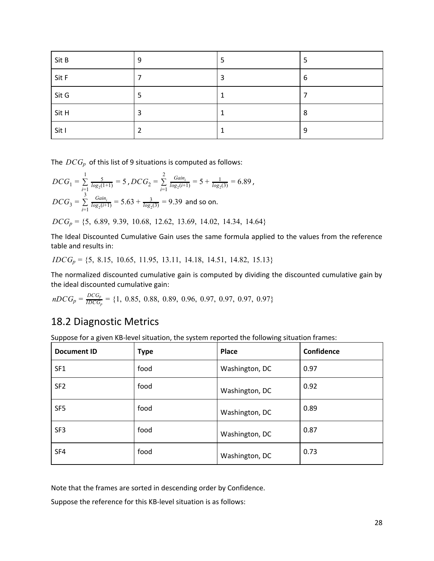| Sit B | 9 | 5 | 5 |
|-------|---|---|---|
| Sit F |   | 3 | 6 |
| Sit G | 5 |   |   |
| Sit H | 3 |   | 8 |
| Sit I |   | × | 9 |

The *DCG<sup>p</sup>* of this list of 9 situations is computed as follows:

$$
DCG_1 = \sum_{i=1}^{1} \frac{5}{\log_2(1+1)} = 5 \text{ , } DCG_2 = \sum_{i=1}^{2} \frac{Gain_i}{\log_2(i+1)} = 5 + \frac{1}{\log_2(3)} = 6.89 \text{ ,}
$$
\n
$$
DCG_3 = \sum_{i=1}^{3} \frac{Gain_i}{\log_2(i+1)} = 5.63 + \frac{3}{\log_2(3)} = 9.39 \text{ and so on.}
$$
\n
$$
DCG_p = \{5, 6.89, 9.39, 10.68, 12.62, 13.69, 14.02, 14.34, 14.64\}
$$

The Ideal Discounted Cumulative Gain uses the same formula applied to the values from the reference table and results in:

*IDCG<sup>p</sup>* = {5, 8.15, 10.65, 11.95, 13.11, 14.18, 14.51, 14.82, 15.13}

The normalized discounted cumulative gain is computed by dividing the discounted cumulative gain by the ideal discounted cumulative gain:

$$
nDCG_p = \frac{DCG_p}{IDCG_p} = \{1, 0.85, 0.88, 0.89, 0.96, 0.97, 0.97, 0.97, 0.97\}
$$

### 18.2 Diagnostic Metrics

Suppose for a given KB-level situation, the system reported the following situation frames:

| <b>Document ID</b> | <b>Type</b> | <b>Place</b>   | Confidence |
|--------------------|-------------|----------------|------------|
| SF <sub>1</sub>    | food        | Washington, DC | 0.97       |
| SF <sub>2</sub>    | food        | Washington, DC | 0.92       |
| SF <sub>5</sub>    | food        | Washington, DC | 0.89       |
| SF <sub>3</sub>    | food        | Washington, DC | 0.87       |
| SF4                | food        | Washington, DC | 0.73       |

Note that the frames are sorted in descending order by Confidence.

Suppose the reference for this KB-level situation is as follows: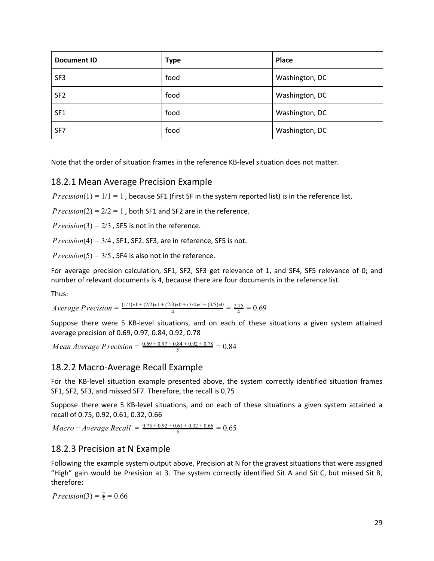| <b>Document ID</b> | <b>Type</b> | Place          |
|--------------------|-------------|----------------|
| SF <sub>3</sub>    | food        | Washington, DC |
| SF <sub>2</sub>    | food        | Washington, DC |
| SF <sub>1</sub>    | food        | Washington, DC |
| SF7                | food        | Washington, DC |

Note that the order of situation frames in the reference KB-level situation does not matter.

#### 18.2.1 Mean Average Precision Example

*Precision*( $1$ ) =  $1/1$  = 1, because SF1 (first SF in the system reported list) is in the reference list.

*Precision*(2) =  $2/2 = 1$ , both SF1 and SF2 are in the reference.

 $Precision(3) = 2/3$ , SF5 is not in the reference.

 $Precision(4) = 3/4$ , SF1, SF2. SF3, are in reference, SF5 is not.

*Precision*(5) =  $3/5$ , SF4 is also not in the reference.

For average precision calculation, SF1, SF2, SF3 get relevance of 1, and SF4, SF5 relevance of 0; and number of relevant documents is 4, because there are four documents in the reference list.

Thus:

 $Average Precision = \frac{(1/1)*1 + (2/2)*1 + (2/3)*0 + (3/4)*1 + (3/5)*0}{4} = \frac{2.75}{4} = 0.69$ 

Suppose there were 5 KB-level situations, and on each of these situations a given system attained average precision of 0.69, 0.97, 0.84, 0.92, 0.78

*Mean Average Precision* =  $\frac{0.69 + 0.97 + 0.84 + 0.92 + 0.78}{5} = 0.84$ 

#### 18.2.2 Macro-Average Recall Example

For the KB-level situation example presented above, the system correctly identified situation frames SF1, SF2, SF3, and missed SF7. Therefore, the recall is 0.75

Suppose there were 5 KB-level situations, and on each of these situations a given system attained a recall of 0.75, 0.92, 0.61, 0.32, 0.66

 $Macco - Average Recall = \frac{0.75 + 0.92 + 0.61 + 0.32 + 0.66}{5} = 0.65$ 

#### 18.2.3 Precision at N Example

Following the example system output above, Precision at N for the gravest situations that were assigned "High" gain would be Presision at 3. The system correctly identified Sit A and Sit C, but missed Sit B, therefore:

*Precision*(3) =  $\frac{2}{3}$  = 0.66